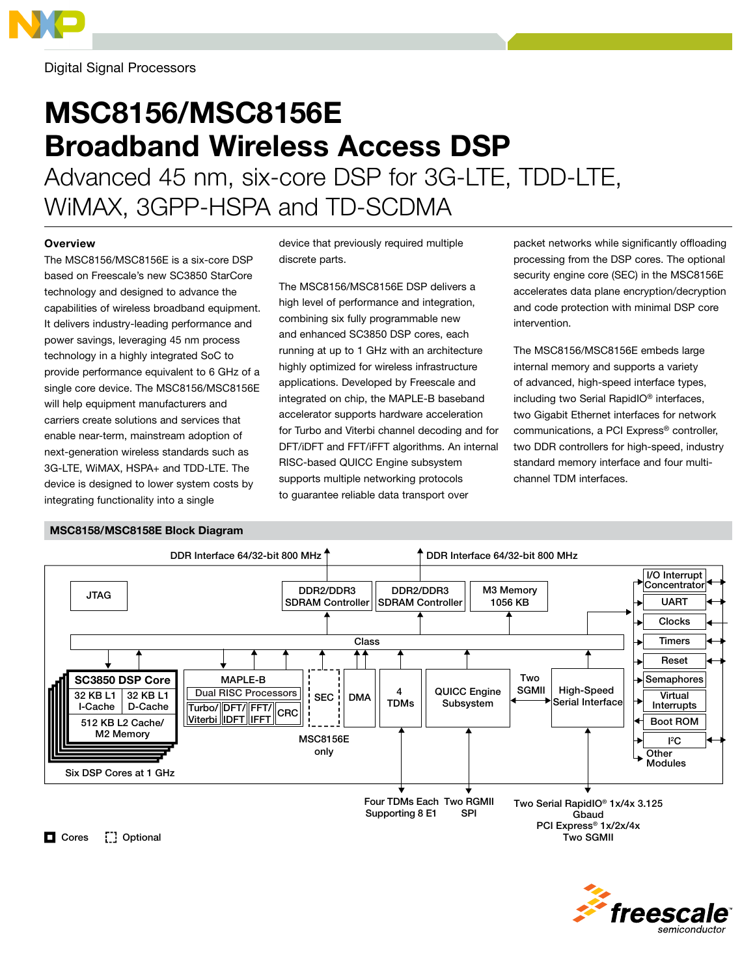

Digital Signal Processors

# MSC8156/MSC8156E Broadband Wireless Access DSP

Advanced 45 nm, six-core DSP for 3G-LTE, TDD-LTE, WiMAX, 3GPP-HSPA and TD-SCDMA

## **Overview**

The MSC8156/MSC8156E is a six-core DSP based on Freescale's new SC3850 StarCore technology and designed to advance the capabilities of wireless broadband equipment. It delivers industry-leading performance and power savings, leveraging 45 nm process technology in a highly integrated SoC to provide performance equivalent to 6 GHz of a single core device. The MSC8156/MSC8156E will help equipment manufacturers and carriers create solutions and services that enable near-term, mainstream adoption of next-generation wireless standards such as 3G-LTE, WiMAX, HSPA+ and TDD-LTE. The device is designed to lower system costs by integrating functionality into a single

device that previously required multiple discrete parts.

The MSC8156/MSC8156E DSP delivers a high level of performance and integration, combining six fully programmable new and enhanced SC3850 DSP cores, each running at up to 1 GHz with an architecture highly optimized for wireless infrastructure applications. Developed by Freescale and integrated on chip, the MAPLE-B baseband accelerator supports hardware acceleration for Turbo and Viterbi channel decoding and for DFT/iDFT and FFT/iFFT algorithms. An internal RISC-based QUICC Engine subsystem supports multiple networking protocols to guarantee reliable data transport over

packet networks while significantly offloading processing from the DSP cores. The optional security engine core (SEC) in the MSC8156E accelerates data plane encryption/decryption and code protection with minimal DSP core intervention.

The MSC8156/MSC8156E embeds large internal memory and supports a variety of advanced, high-speed interface types, including two Serial RapidIO® interfaces, two Gigabit Ethernet interfaces for network communications, a PCI Express® controller, two DDR controllers for high-speed, industry standard memory interface and four multichannel TDM interfaces.

#### JTAG DDR Interface 64/32-bit 800 MHz 4  $DMA \parallel \frac{4}{1DMs}$ I/O Interrupt Concentrator UART Clocks Timers Reset Semaphores DDR2/DDR3 SDRAM Controller SDRAM Controller Class QUICC Engine Subsystem Four TDMs Each Two RGMII Supporting 8 E1 Boot ROM I 2 C Virtual Interrupts High-Speed  $\left|\frac{4}{100} \right| \left|\frac{4}{100} \right| \left|\frac{100}{100} \right|$  Subsystem  $\left|\frac{4}{100} \right|$  Serial Interface MAPLE-B Turbo/ FFT/ DFT/ <u>Viterbi |IDFT |IFFT</u> SPI **Two** SGMII M3 Memory 1056 KB Dual RISC Processors DDR Interface 64/32-bit 800 MHz DDR2/DDR3 512 KB L2 Cache/ M2 Memory SC3850 DSP Core 32 KB L1 I-Cache 32 KB L1 D-Cache Six DSP Cores at 1 GHz MSC8158/MSC8158E Block Diagram MSC8156E only CRC Two Serial RapidIO® 1x/4x 3.125 Gbaud PCI Express® 1x/2x/4x Two SGMII **Other** Modules Cores [ ] Optional